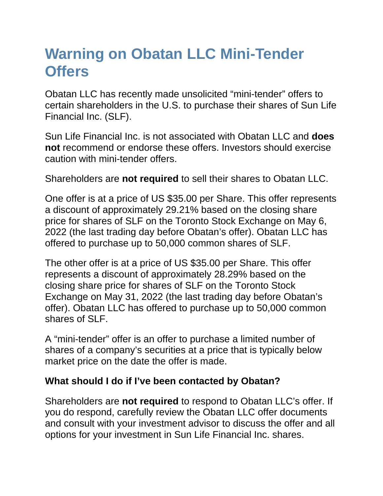## **Warning on Obatan LLC Mini-Tender Offers**

Obatan LLC has recently made unsolicited "mini-tender" offers to certain shareholders in the U.S. to purchase their shares of Sun Life Financial Inc. (SLF).

Sun Life Financial Inc. is not associated with Obatan LLC and **does not** recommend or endorse these offers. Investors should exercise caution with mini-tender offers.

Shareholders are **not required** to sell their shares to Obatan LLC.

One offer is at a price of US \$35.00 per Share. This offer represents a discount of approximately 29.21% based on the closing share price for shares of SLF on the Toronto Stock Exchange on May 6, 2022 (the last trading day before Obatan's offer). Obatan LLC has offered to purchase up to 50,000 common shares of SLF.

The other offer is at a price of US \$35.00 per Share. This offer represents a discount of approximately 28.29% based on the closing share price for shares of SLF on the Toronto Stock Exchange on May 31, 2022 (the last trading day before Obatan's offer). Obatan LLC has offered to purchase up to 50,000 common shares of SLF.

A "mini-tender" offer is an offer to purchase a limited number of shares of a company's securities at a price that is typically below market price on the date the offer is made.

## **What should I do if I've been contacted by Obatan?**

Shareholders are **not required** to respond to Obatan LLC's offer. If you do respond, carefully review the Obatan LLC offer documents and consult with your investment advisor to discuss the offer and all options for your investment in Sun Life Financial Inc. shares.